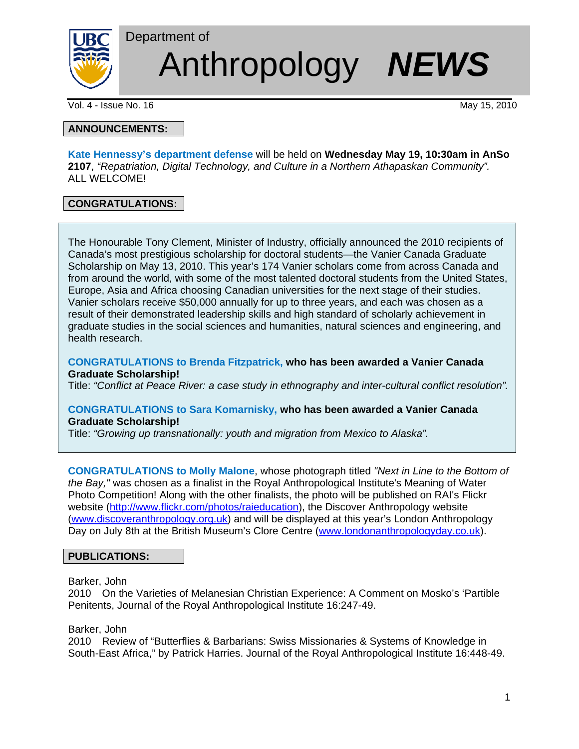

Department of Anthropology *NEWS*

Vol. 4 - Issue No. 16 May 15, 2010

# **ANNOUNCEMENTS:**

**Kate Hennessy's department defense** will be held on **Wednesday May 19, 10:30am in AnSo 2107**, *"Repatriation, Digital Technology, and Culture in a Northern Athapaskan Community".* ALL WELCOME!

# **CONGRATULATIONS:**

The Honourable Tony Clement, Minister of Industry, officially announced the 2010 recipients of Canada's most prestigious scholarship for doctoral students—the Vanier Canada Graduate Scholarship on May 13, 2010. This year's 174 Vanier scholars come from across Canada and from around the world, with some of the most talented doctoral students from the United States, Europe, Asia and Africa choosing Canadian universities for the next stage of their studies. Vanier scholars receive \$50,000 annually for up to three years, and each was chosen as a result of their demonstrated leadership skills and high standard of scholarly achievement in graduate studies in the social sciences and humanities, natural sciences and engineering, and health research.

**CONGRATULATIONS to Brenda Fitzpatrick, who has been awarded a Vanier Canada Graduate Scholarship!**

Title: *"Conflict at Peace River: a case study in ethnography and inter-cultural conflict resolution".* 

### **CONGRATULATIONS to Sara Komarnisky, who has been awarded a Vanier Canada Graduate Scholarship!**

Title: *"Growing up transnationally: youth and migration from Mexico to Alaska".* 

**CONGRATULATIONS to Molly Malone**, whose photograph titled *"Next in Line to the Bottom of the Bay,"* was chosen as a finalist in the Royal Anthropological Institute's Meaning of Water Photo Competition! Along with the other finalists, the photo will be published on RAI's Flickr website (http://www.flickr.com/photos/raieducation), the Discover Anthropology website (www.discoveranthropology.org.uk) and will be displayed at this year's London Anthropology Day on July 8th at the British Museum's Clore Centre (www.londonanthropologyday.co.uk).

# **PUBLICATIONS:**

#### Barker, John

2010 On the Varieties of Melanesian Christian Experience: A Comment on Mosko's 'Partible Penitents, Journal of the Royal Anthropological Institute 16:247-49.

Barker, John

2010 Review of "Butterflies & Barbarians: Swiss Missionaries & Systems of Knowledge in South-East Africa," by Patrick Harries. Journal of the Royal Anthropological Institute 16:448-49.